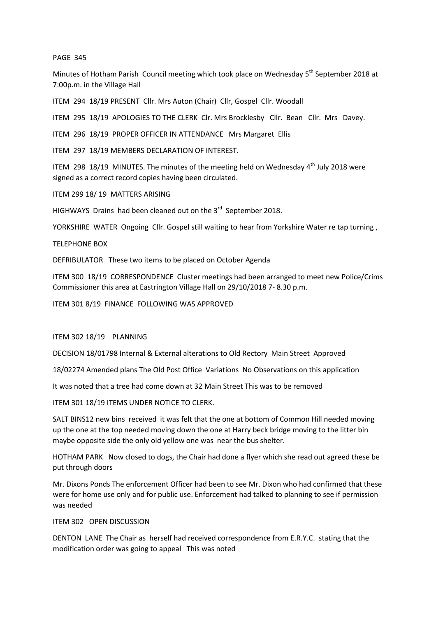## PAGE 345

Minutes of Hotham Parish Council meeting which took place on Wednesday 5<sup>th</sup> September 2018 at 7:00p.m. in the Village Hall

ITEM 294 18/19 PRESENT Cllr. Mrs Auton (Chair) Cllr, Gospel Cllr. Woodall

ITEM 295 18/19 APOLOGIES TO THE CLERK Clr. Mrs Brocklesby Cllr. Bean Cllr. Mrs Davey.

ITEM 296 18/19 PROPER OFFICER IN ATTENDANCE Mrs Margaret Ellis

ITEM 297 18/19 MEMBERS DECLARATION OF INTEREST.

ITEM 298 18/19 MINUTES. The minutes of the meeting held on Wednesday  $4<sup>th</sup>$  July 2018 were signed as a correct record copies having been circulated.

ITEM 299 18/ 19 MATTERS ARISING

HIGHWAYS Drains had been cleaned out on the  $3<sup>rd</sup>$  September 2018.

YORKSHIRE WATER Ongoing Cllr. Gospel still waiting to hear from Yorkshire Water re tap turning ,

TELEPHONE BOX

DEFRIBULATOR These two items to be placed on October Agenda

ITEM 300 18/19 CORRESPONDENCE Cluster meetings had been arranged to meet new Police/Crims Commissioner this area at Eastrington Village Hall on 29/10/2018 7- 8.30 p.m.

ITEM 301 8/19 FINANCE FOLLOWING WAS APPROVED

ITEM 302 18/19 PLANNING

DECISION 18/01798 Internal & External alterations to Old Rectory Main Street Approved

18/02274 Amended plans The Old Post Office Variations No Observations on this application

It was noted that a tree had come down at 32 Main Street This was to be removed

ITEM 301 18/19 ITEMS UNDER NOTICE TO CLERK.

SALT BINS12 new bins received it was felt that the one at bottom of Common Hill needed moving up the one at the top needed moving down the one at Harry beck bridge moving to the litter bin maybe opposite side the only old yellow one was near the bus shelter.

HOTHAM PARK Now closed to dogs, the Chair had done a flyer which she read out agreed these be put through doors

Mr. Dixons Ponds The enforcement Officer had been to see Mr. Dixon who had confirmed that these were for home use only and for public use. Enforcement had talked to planning to see if permission was needed

## ITEM 302 OPEN DISCUSSION

DENTON LANE The Chair as herself had received correspondence from E.R.Y.C. stating that the modification order was going to appeal This was noted